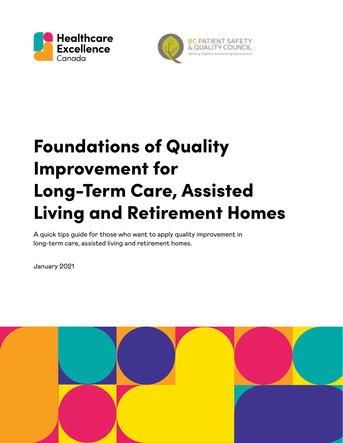



# Foundations of Quality Improvement for Long-Term Care, Assisted Living and Retirement Homes

A quick tips guide for those who want to apply quality improvement in long-term care, assisted living and retirement homes.

January 2021

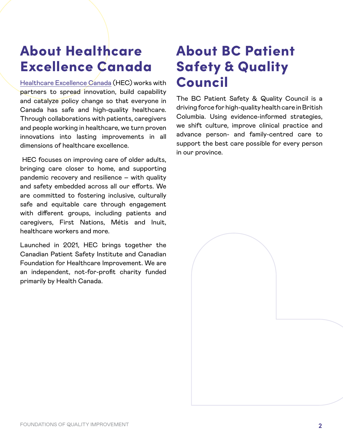### About Healthcare Excellence Canada

[Healthcare Excellence Canada](https://healthcareexcellence.ca/) (HEC) works with partners to spread innovation, build capability and catalyze policy change so that everyone in Canada has safe and high-quality healthcare. Through collaborations with patients, caregivers and people working in healthcare, we turn proven innovations into lasting improvements in all dimensions of healthcare excellence.

 HEC focuses on improving care of older adults, bringing care closer to home, and supporting pandemic recovery and resilience – with quality and safety embedded across all our efforts. We are committed to fostering inclusive, culturally safe and equitable care through engagement with different groups, including patients and caregivers, First Nations, Métis and Inuit, healthcare workers and more.

Launched in 2021, HEC brings together the Canadian Patient Safety Institute and Canadian Foundation for Healthcare Improvement. We are an independent, not-for-profit charity funded primarily by Health Canada.

### About BC Patient Safety & Quality Council

The BC Patient Safety & Quality Council is a driving force for high-quality health care in British Columbia. Using evidence-informed strategies, we shift culture, improve clinical practice and advance person- and family-centred care to support the best care possible for every person in our province.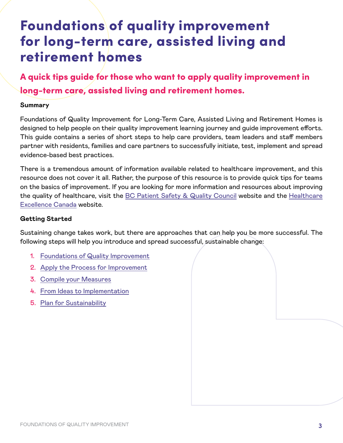### Foundations of quality improvement for long-term care, assisted living and retirement homes

A quick tips guide for those who want to apply quality improvement in long-term care, assisted living and retirement homes.

#### **Summary**

Foundations of Quality Improvement for Long-Term Care, Assisted Living and Retirement Homes is designed to help people on their quality improvement learning journey and guide improvement efforts. This guide contains a series of short steps to help care providers, team leaders and staff members partner with residents, families and care partners to successfully initiate, test, implement and spread evidence-based best practices.

There is a tremendous amount of information available related to healthcare improvement, and this resource does not cover it all. Rather, the purpose of this resource is to provide quick tips for teams on the basics of improvement. If you are looking for more information and resources about improving the quality of healthcare, visit the [BC Patient Safety & Quality Council](https://bcpsqc.ca/resources/engaging-people-in-quality-epiq/) website and the [Healthcare](https://healthcareexcellence.ca/) [Excellence Canada](https://healthcareexcellence.ca/) website.

#### **Getting Started**

Sustaining change takes work, but there are approaches that can help you be more successful. The following steps will help you introduce and spread successful, sustainable change:

- 1. [Foundations of Quality Improvement](#page-4-0)
- 2. [Apply the Process for Improvement](#page-7-0)
- 3. [Compile your Measures](#page-14-0)
- 4. [From Ideas to Implementation](#page-17-0)
- 5. [Plan for Sustainability](#page-18-0)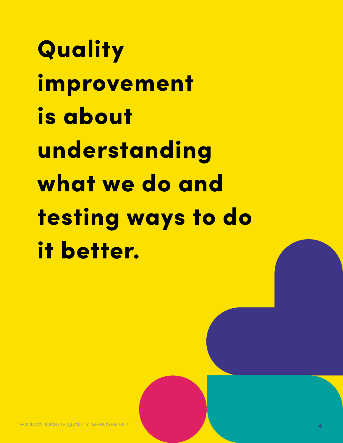**Quality** improvement is about understanding what we do and testing ways to do it better.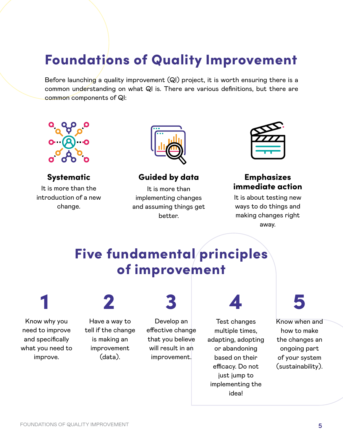### <span id="page-4-0"></span>Foundations of Quality Improvement

Before launching a quality improvement (QI) project, it is worth ensuring there is a common understanding on what QI is. There are various definitions, but there are common components of QI:



It is more than the introduction of a new change.



#### Systematic Guided by data Emphasizes

It is more than implementing changes and assuming things get better.



# immediate action

It is about testing new ways to do things and making changes right away.

### Five fundamental principles of improvement

Know why you need to improve and specifically what you need to improve.

Have a way to tell if the change is making an

> improvement (data).

Develop an effective change that you believe will result in an improvement.

1 2 3 4 5

Test changes multiple times, adapting, adopting or abandoning based on their efficacy. Do not just jump to implementing the idea!



Know when and how to make the changes an ongoing part of your system (sustainability).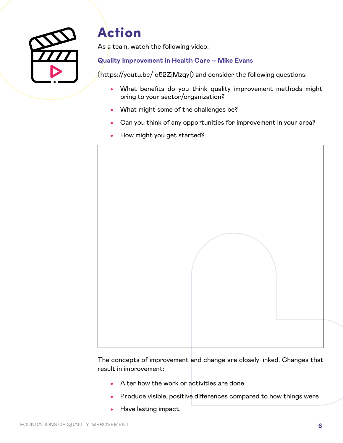

### Action

As a team, watch the following video:

#### **[Quality Improvement in Health Care – Mike Evans](http://bit.ly/1N7vvnc)**

(https://youtu.be/jq52ZjMzqyI) and consider the following questions:

- What benefits do you think quality improvement methods might bring to your sector/organization?
- What might some of the challenges be?
- Can you think of any opportunities for improvement in your area?
- How might you get started?



The concepts of improvement and change are closely linked. Changes that result in improvement:

- Alter how the work or activities are done
- Produce visible, positive differences compared to how things were
- Have lasting impact.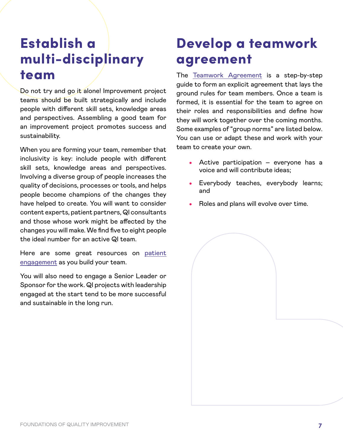### Establish a multi-disciplinary team

Do not try and go it alone! Improvement project teams should be built strategically and include people with different skill sets, knowledge areas and perspectives. Assembling a good team for an improvement project promotes success and sustainability.

When you are forming your team, remember that inclusivity is key: include people with different skill sets, knowledge areas and perspectives. Involving a diverse group of people increases the quality of decisions, processes or tools, and helps people become champions of the changes they have helped to create. You will want to consider content experts, patient partners, QI consultants and those whose work might be affected by the changes you will make. We find five to eight people the ideal number for an active QI team.

Here are some great resources on [patient](https://bcpsqc.ca/resources/patient-engagement/) [engagement](https://bcpsqc.ca/resources/patient-engagement/) as you build your team.

You will also need to engage a Senior Leader or Sponsor for the work. QI projects with leadership engaged at the start tend to be more successful and sustainable in the long run.

### Develop a teamwork agreement

The [Teamwork Agreement](https://bcpsqc.ca/wp-content/uploads/2020/07/Teamwork-Agreement_Finalv2.pdf) is a step-by-step guide to form an explicit agreement that lays the ground rules for team members. Once a team is formed, it is essential for the team to agree on their roles and responsibilities and define how they will work together over the coming months. Some examples of "group norms" are listed below. You can use or adapt these and work with your team to create your own.

- Active participation everyone has a voice and will contribute ideas;
- Everybody teaches, everybody learns; and
- Roles and plans will evolve over time.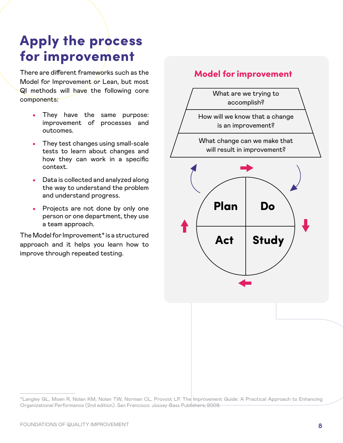### <span id="page-7-0"></span>Apply the process for improvement

There are different frameworks such as the Model for Improvement or Lean, but most QI methods will have the following core components:

- They have the same purpose: improvement of processes and outcomes.
- They test changes using small-scale tests to learn about changes and how they can work in a specific context.
- Data is collected and analyzed along the way to understand the problem and understand progress.
- Projects are not done by only one person or one department, they use a team approach.

The Model for Improvement\* is a structured approach and it helps you learn how to improve through repeated testing.

#### Model for improvement



<sup>\*</sup>Langley GL, Moen R, Nolan KM, Nolan TW, Norman CL, Provost LP. The Improvement Guide: A Practical Approach to Enhancing Organizational Performance (2nd edition). San Francisco: Jossey-Bass Publishers; 2009.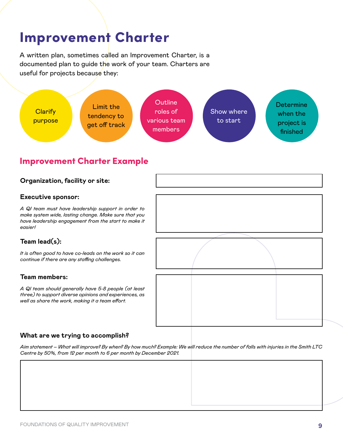### Improvement Charter

A written plan, sometimes called an Improvement Charter, is a documented plan to guide the work of your team. Charters are useful for projects because they:



#### Improvement Charter Example

#### **Organization, facility or site:**

#### **Executive sponsor:**

*A QI team must have leadership support in order to make system wide, lasting change. Make sure that you have leadership engagement from the start to make it easier!*

#### **Team lead(s):**

*It is often good to have co-leads on the work so it can continue if there are any staffing challenges.*

#### **Team members:**

*A QI team should generally have 5-8 people (at least three) to support diverse opinions and experiences, as well as share the work, making it a team effort.*

#### **What are we trying to accomplish?**

*Aim statement – What will improve? By when? By how much? Example: We will reduce the number of falls with injuries in the Smith LTC Centre by 50%, from 12 per month to 6 per month by December 2021.*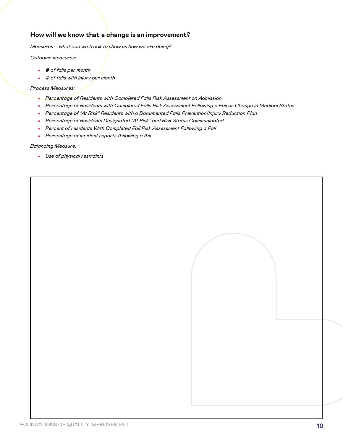#### **How will we know that a change is an improvement?**

*Measures – what can we track to show us how we are doing?* 

*Outcome measures:*

- *# of falls per month*
- *# of falls with injury per month*

*Process Measures:*

- *Percentage of Residents with Completed Falls Risk Assessment on Admission*
- *Percentage of Residents with Completed Falls Risk Assessment Following a Fall or Change in Medical Status*
- *Percentage of "At Risk" Residents with a Documented Falls Prevention/Injury Reduction Plan*
- *Percentage of Residents Designated "At Risk" and Risk Status Communicated*
- *Percent of residents With Completed Fall Risk Assessment Following a Fall*
- *Percentage of incident reports following a fall*

*Balancing Measure:*

• *Use of physical restraints*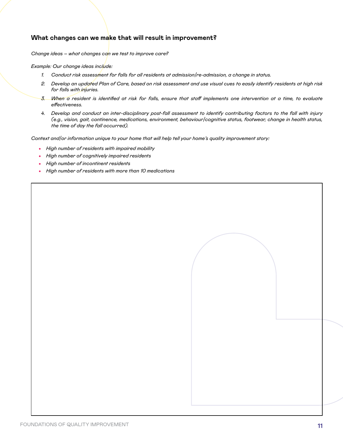#### **What changes can we make that will result in improvement?**

*Change ideas – what changes can we test to improve care?*

*Example: Our change ideas include:*

- *1. Conduct risk assessment for falls for all residents at admission/re-admission, a change in status.*
- *2. Develop an updated Plan of Care, based on risk assessment and use visual cues to easily identify residents at high risk for falls with injuries.*
- *3. When a resident is identified at risk for falls, ensure that staff implements one intervention at a time, to evaluate effectiveness.*
- *4. Develop and conduct an inter-disciplinary post-fall assessment to identify contributing factors to the fall with injury (e.g., vision, gait, continence, medications, environment, behaviour/cognitive status, footwear, change in health status, the time of day the fall occurred).*

*Context and/or information unique to your home that will help tell your home's quality improvement story:*

- *High number of residents with impaired mobility*
- *High number of cognitively impaired residents*
- *High number of incontinent residents*
- *High number of residents with more than 10 medications*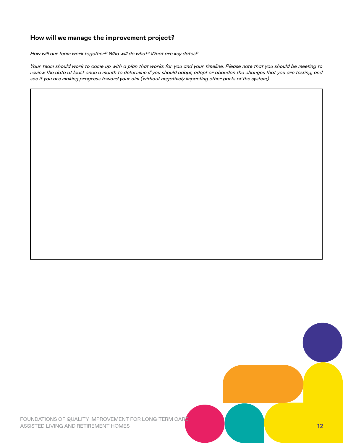#### **How will we manage the improvement project?**

*How will our team work together? Who will do what? What are key dates?*

*Your team should work to come up with a plan that works for you and your timeline. Please note that you should be meeting to review the data at least once a month to determine if you should adapt, adopt or abandon the changes that you are testing, and see if you are making progress toward your aim (without negatively impacting other parts of the system).*

FOUNDATIONS OF QUALITY IMPROVEMENT FOR LONG-TERM CARE ASSISTED LIVING AND RETIREMENT HOMES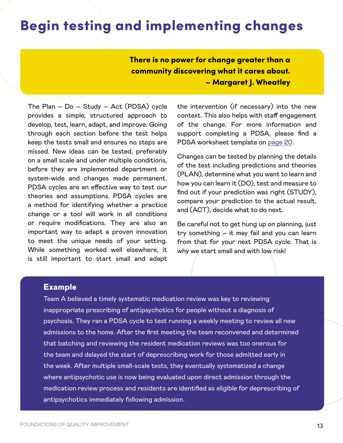### Begin testing and implementing changes

There is no power for change greater than a community discovering what it cares about. – Margaret J. Wheatley

The Plan – Do – Study – Act (PDSA) cycle provides a simple, structured approach to develop, test, learn, adapt, and improve. Going through each section before the test helps keep the tests small and ensures no steps are missed. New ideas can be tested, preferably on a small scale and under multiple conditions, before they are implemented department or system-wide and changes made permanent. PDSA cycles are an effective way to test our theories and assumptions. PDSA cycles are a method for identifying whether a practice change or a tool will work in all conditions or require modifications. They are also an important way to adapt a proven innovation to meet the unique needs of your setting. While something worked well elsewhere, it is still important to start small and adapt

the intervention (if necessary) into the new context. This also helps with staff engagement of the change. For more information and support completing a PDSA, please find a PDSA worksheet template on [page 20](#page-19-0).

Changes can be tested by planning the details of the test including predictions and theories (PLAN), determine what you want to learn and how you can learn it (DO), test and measure to find out if your prediction was right (STUDY), compare your prediction to the actual result, and (ACT), decide what to do next.

Be careful not to get hung up on planning, just try something – it may fail and you can learn from that for your next PDSA cycle. That is why we start small and with low risk!

#### **Example**

Team A believed a timely systematic medication review was key to reviewing inappropriate prescribing of antipsychotics for people without a diagnosis of psychosis. They ran a PDSA cycle to test running a weekly meeting to review all new admissions to the home. After the first meeting the team reconvened and determined that batching and reviewing the resident medication reviews was too onerous for the team and delayed the start of deprescribing work for those admitted early in the week. After multiple small-scale tests, they eventually systematized a change where antipsychotic use is now being evaluated upon direct admission through the medication review process and residents are identified as eligible for deprescribing of antipsychotics immediately following admission.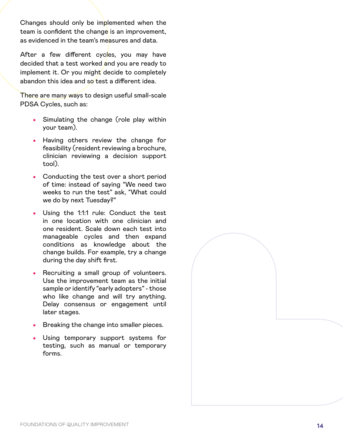Changes should only be implemented when the team is confident the change is an improvement, as evidenced in the team's measures and data.

After a few different cycles, you may have decided that a test worked and you are ready to implement it. Or you might decide to completely abandon this idea and so test a different idea.

There are many ways to design useful small-scale PDSA Cycles, such as:

- Simulating the change (role play within your team).
- Having others review the change for feasibility (resident reviewing a brochure, clinician reviewing a decision support tool).
- Conducting the test over a short period of time: instead of saying "We need two weeks to run the test" ask, "What could we do by next Tuesday?"
- Using the 1:1:1 rule: Conduct the test in one location with one clinician and one resident. Scale down each test into manageable cycles and then expand conditions as knowledge about the change builds. For example, try a change during the day shift first.
- Recruiting a small group of volunteers. Use the improvement team as the initial sample or identify "early adopters" - those who like change and will try anything. Delay consensus or engagement until later stages.
- Breaking the change into smaller pieces.
- Using temporary support systems for testing, such as manual or temporary forms.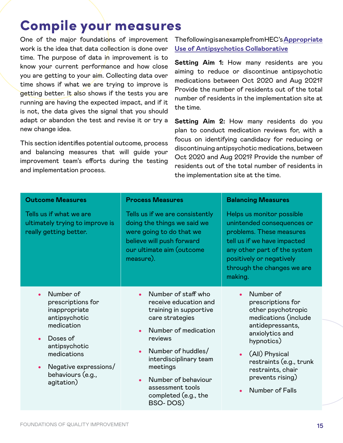### <span id="page-14-0"></span>Compile your measures

One of the major foundations of improvement work is the idea that data collection is done over time. The purpose of data in improvement is to know your current performance and how close you are getting to your aim. Collecting data over time shows if what we are trying to improve is getting better. It also shows if the tests you are running are having the expected impact, and if it is not, the data gives the signal that you should adapt or abandon the test and revise it or try a new change idea.

This section identifies potential outcome, process and balancing measures that will guide your improvement team's efforts during the testing and implementation process.

#### The following is an example from HEC's **[Appropriate](https://www.cfhi-fcass.ca/WhatWeDo/appropriate-use-of-antipsychotics) [Use of Antipsychotics Collaborative](https://www.cfhi-fcass.ca/WhatWeDo/appropriate-use-of-antipsychotics)**

**Setting Aim 1:** How many residents are you aiming to reduce or discontinue antipsychotic medications between Oct 2020 and Aug 2021? Provide the number of residents out of the total number of residents in the implementation site at the time.

**Setting Aim 2:** How many residents do you plan to conduct medication reviews for, with a focus on identifying candidacy for reducing or discontinuing antipsychotic medications, between Oct 2020 and Aug 2021? Provide the number of residents out of the total number of residents in the implementation site at the time.

| <b>Outcome Measures</b>                                                                                                                                                                | <b>Process Measures</b>                                                                                                                                                                                                                                                                                                     | <b>Balancing Measures</b>                                                                                                                                                                                                                                            |  |  |
|----------------------------------------------------------------------------------------------------------------------------------------------------------------------------------------|-----------------------------------------------------------------------------------------------------------------------------------------------------------------------------------------------------------------------------------------------------------------------------------------------------------------------------|----------------------------------------------------------------------------------------------------------------------------------------------------------------------------------------------------------------------------------------------------------------------|--|--|
| Tells us if what we are<br>ultimately trying to improve is<br>really getting better.                                                                                                   | Tells us if we are consistently<br>doing the things we said we<br>were going to do that we<br>believe will push forward<br>our ultimate aim (outcome<br>measure).                                                                                                                                                           | Helps us monitor possible<br>unintended consequences or<br>problems. These measures<br>tell us if we have impacted<br>any other part of the system<br>positively or negatively<br>through the changes we are<br>making.                                              |  |  |
| Number of<br>prescriptions for<br>inappropriate<br>antipsychotic<br>medication<br>Doses of<br>antipsychotic<br>medications<br>Negative expressions/<br>behaviours (e.g.,<br>agitation) | Number of staff who<br>$\bullet$<br>receive education and<br>training in supportive<br>care strategies<br>Number of medication<br>$\bullet$<br>reviews<br>Number of huddles/<br>$\bullet$<br>interdisciplinary team<br>meetings<br>Number of behaviour<br>$\bullet$<br>assessment tools<br>completed (e.g., the<br>BSO-DOS) | Number of<br>$\bullet$<br>prescriptions for<br>other psychotropic<br>medications (include<br>antidepressants,<br>anxiolytics and<br>hypnotics)<br>(All) Physical<br>$\bullet$<br>restraints (e.g., trunk<br>restraints, chair<br>prevents rising)<br>Number of Falls |  |  |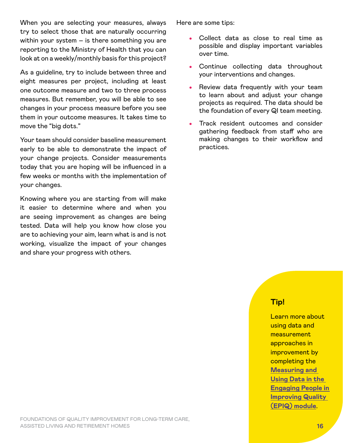When you are selecting your measures, always try to select those that are naturally occurring within your system – is there something you are reporting to the Ministry of Health that you can look at on a weekly/monthly basis for this project?

As a guideline, try to include between three and eight measures per project, including at least one outcome measure and two to three process measures. But remember, you will be able to see changes in your process measure before you see them in your outcome measures. It takes time to move the "big dots."

Your team should consider baseline measurement early to be able to demonstrate the impact of your change projects. Consider measurements today that you are hoping will be influenced in a few weeks or months with the implementation of your changes.

Knowing where you are starting from will make it easier to determine where and when you are seeing improvement as changes are being tested. Data will help you know how close you are to achieving your aim, learn what is and is not working, visualize the impact of your changes and share your progress with others.

Here are some tips:

- Collect data as close to real time as possible and display important variables over time.
- Continue collecting data throughout your interventions and changes.
- Review data frequently with your team to learn about and adjust your change projects as required. The data should be the foundation of every QI team meeting.
- Track resident outcomes and consider gathering feedback from staff who are making changes to their workflow and practices.

#### **Tip!**

Learn more about using data and measurement approaches in improvement by completing the **[Measuring and](https://bcpsqc.ca/resources/engaging-people-in-quality-epiq/)  [Using Data in the](https://bcpsqc.ca/resources/engaging-people-in-quality-epiq/)  [Engaging People in](https://bcpsqc.ca/resources/engaging-people-in-quality-epiq/)  [Improving Quality](https://bcpsqc.ca/resources/engaging-people-in-quality-epiq/)  [\(EPIQ\) module](https://bcpsqc.ca/resources/engaging-people-in-quality-epiq/)**.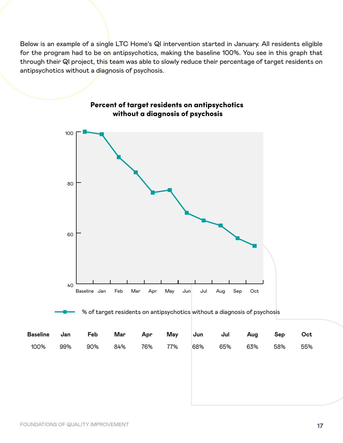Below is an example of a single LTC Home's QI intervention started in January. All residents eligible for the program had to be on antipsychotics, making the baseline 100%. You see in this graph that through their QI project, this team was able to slowly reduce their percentage of target residents on antipsychotics without a diagnosis of psychosis.



#### Percent of target residents on antipsychotics without a diagnosis of psychosis

% of target residents on antipsychotics without a diagnosis of psychosis

| Baseline Jan |     | Feb | Mar Apr |         |     |          | May Jun Jul Aug Sep |     | Oct |
|--------------|-----|-----|---------|---------|-----|----------|---------------------|-----|-----|
| 100%         | 99% | 90% | 84%     | 76% 77% | 68% | 65%  63% |                     | 58% | 55% |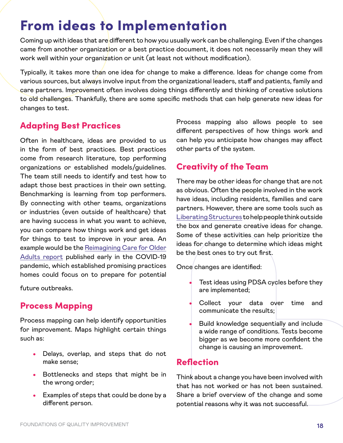### <span id="page-17-0"></span>From ideas to Implementation

Coming up with ideas that are different to how you usually work can be challenging. Even if the changes came from another organization or a best practice document, it does not necessarily mean they will work well within your organization or unit (at least not without modification).

Typically, it takes more than one idea for change to make a difference. Ideas for change come from various sources, but always involve input from the organizational leaders, staff and patients, family and care partners. Improvement often involves doing things differently and thinking of creative solutions to old challenges. Thankfully, there are some specific methods that can help generate new ideas for changes to test.

#### Adapting Best Practices

Often in healthcare, ideas are provided to us in the form of best practices. Best practices come from research literature, top performing organizations or established models/guidelines. The team still needs to identify and test how to adapt those best practices in their own setting. Benchmarking is learning from top performers. By connecting with other teams, organizations or industries (even outside of healthcare) that are having success in what you want to achieve, you can compare how things work and get ideas for things to test to improve in your area. An example would be the [Reimagining Care for Older](https://www.cfhi-fcass.ca/innovations-tools-resources/item-detail/2020/07/20/re-imagining-care-for-older-adults-next-steps-in-covid-19-response-in-long-term-care-and-retirement-homes) [Adults report](https://www.cfhi-fcass.ca/innovations-tools-resources/item-detail/2020/07/20/re-imagining-care-for-older-adults-next-steps-in-covid-19-response-in-long-term-care-and-retirement-homes) published early in the COVID-19 pandemic, which established promising practices homes could focus on to prepare for potential

future outbreaks.

#### Process Mapping

Process mapping can help identify opportunities for improvement. Maps highlight certain things such as:

- Delays, overlap, and steps that do not make sense;
- Bottlenecks and steps that might be in the wrong order;
- Examples of steps that could be done by a different person.

Process mapping also allows people to see different perspectives of how things work and can help you anticipate how changes may affect other parts of the system.

#### Creativity of the Team

There may be other ideas for change that are not as obvious. Often the people involved in the work have ideas, including residents, families and care partners. However, there are some tools such as [Liberating Structures](http://www.liberatingstructures.com/) to help people think outside the box and generate creative ideas for change. Some of these activities can help prioritize the ideas for change to determine which ideas might be the best ones to try out first.

Once changes are identified:

- Test ideas using PDSA cycles before they are implemented;
- Collect your data over time and communicate the results;
- Build knowledge sequentially and include a wide range of conditions. Tests become bigger as we become more confident the change is causing an improvement.

#### Reflection

Think about a change you have been involved with that has not worked or has not been sustained. Share a brief overview of the change and some potential reasons why it was not successful.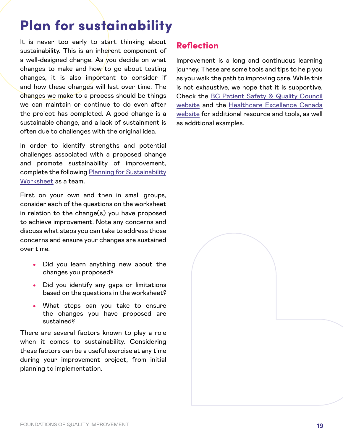### <span id="page-18-0"></span>Plan for sustainability

It is never too early to start thinking about sustainability. This is an inherent component of a well-designed change. As you decide on what changes to make and how to go about testing changes, it is also important to consider if and how these changes will last over time. The changes we make to a process should be things we can maintain or continue to do even after the project has completed. A good change is a sustainable change, and a lack of sustainment is often due to challenges with the original idea.

In order to identify strengths and potential challenges associated with a proposed change and promote sustainability of improvement, complete the following [Planning for Sustainability](#page-21-0)  [Worksheet](#page-21-0) as a team.

First on your own and then in small groups, consider each of the questions on the worksheet in relation to the change $(s)$  you have proposed to achieve improvement. Note any concerns and discuss what steps you can take to address those concerns and ensure your changes are sustained over time.

- Did you learn anything new about the changes you proposed?
- Did you identify any gaps or limitations based on the questions in the worksheet?
- What steps can you take to ensure the changes you have proposed are sustained?

There are several factors known to play a role when it comes to sustainability. Considering these factors can be a useful exercise at any time during your improvement project, from initial planning to implementation.

#### Reflection

Improvement is a long and continuous learning journey. These are some tools and tips to help you as you walk the path to improving care. While this is not exhaustive, we hope that it is supportive. Check the [BC Patient Safety & Quality Council](https://bcpsqc.ca/resources/engaging-people-in-quality-epiq/) [website](https://bcpsqc.ca/resources/engaging-people-in-quality-epiq/) and the [Healthcare Excellence Canada](https://healthcareexcellence.ca/) [website](https://healthcareexcellence.ca/) for additional resource and tools, as well as additional examples.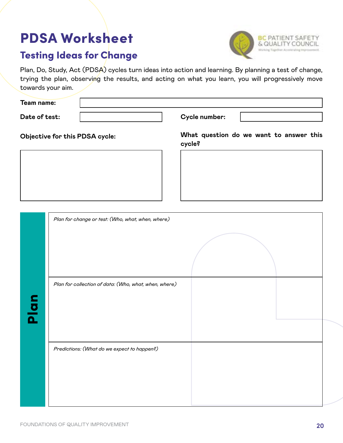### <span id="page-19-0"></span>PDSA Worksheet

### Testing Ideas for Change

Plan, Do, Study, Act (PDSA) cycles turn ideas into action and learning. By planning a test of change, trying the plan, observing the results, and acting on what you learn, you will progressively move towards your aim.

| Team name:                     |                                                   |
|--------------------------------|---------------------------------------------------|
| Date of test:                  | Cycle number:                                     |
| Objective for this PDSA cycle: | What question do we want to answer this<br>cycle? |
|                                |                                                   |
|                                |                                                   |
|                                |                                                   |
|                                |                                                   |

| Plan for change or test: (Who, what, when, where)     |  |
|-------------------------------------------------------|--|
|                                                       |  |
| Plan for collection of data: (Who, what, when, where) |  |
| Predictions: (What do we expect to happen?)           |  |
|                                                       |  |

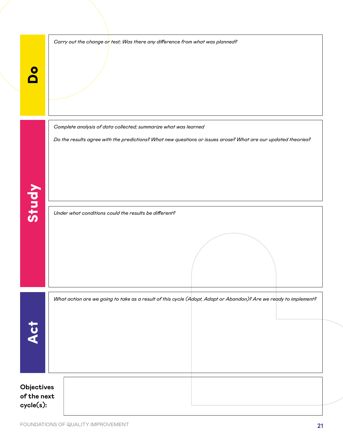|                                        | Carry out the change or test; Was there any difference from what was planned?                                                                                                    |
|----------------------------------------|----------------------------------------------------------------------------------------------------------------------------------------------------------------------------------|
| Study                                  | Complete analysis of data collected; summarize what was learned<br>Do the results agree with the predictions? What new questions or issues arose? What are our updated theories? |
|                                        | Under what conditions could the results be different?                                                                                                                            |
| Act                                    | What action are we going to take as a result of this cycle (Adopt, Adapt or Abandon)? Are we ready to implement?                                                                 |
| Objectives<br>of the next<br>cycle(s): |                                                                                                                                                                                  |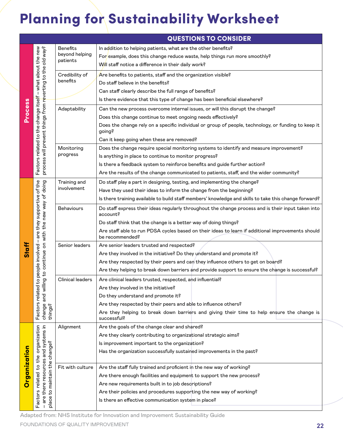## <span id="page-21-0"></span>Planning for Sustainability Worksheet

|              |                                                                                                                   |                   | <b>QUESTIONS TO CONSIDER</b>                                                                                         |  |  |
|--------------|-------------------------------------------------------------------------------------------------------------------|-------------------|----------------------------------------------------------------------------------------------------------------------|--|--|
| Process      |                                                                                                                   | <b>Benefits</b>   | In addition to helping patients, what are the other benefits?                                                        |  |  |
|              |                                                                                                                   | beyond helping    | For example, does this change reduce waste, help things run more smoothly?                                           |  |  |
|              | - what about the new                                                                                              | patients          | Will staff notice a difference in their daily work?                                                                  |  |  |
|              |                                                                                                                   | Credibility of    | Are benefits to patients, staff and the organization visible?                                                        |  |  |
|              |                                                                                                                   | benefits          | Do staff believe in the benefits?                                                                                    |  |  |
|              | process will prevent things from r <mark>e</mark> verting to the old way?<br>Factors related to the change itself |                   | Can staff clearly describe the full range of benefits?                                                               |  |  |
|              |                                                                                                                   |                   | Is there evidence that this type of change has been beneficial elsewhere?                                            |  |  |
|              |                                                                                                                   | Adaptability      | Can the new process overcome internal issues, or will this disrupt the change?                                       |  |  |
|              |                                                                                                                   |                   | Does this change continue to meet ongoing needs effectively?                                                         |  |  |
|              |                                                                                                                   |                   | Does the change rely on a specific individual or group of people, technology, or funding to keep it<br>going?        |  |  |
|              |                                                                                                                   |                   | Can it keep going when these are removed?                                                                            |  |  |
|              |                                                                                                                   | Monitoring        | Does the change require special monitoring systems to identify and measure improvement?                              |  |  |
|              |                                                                                                                   | progress          | Is anything in place to continue to monitor progress?                                                                |  |  |
|              |                                                                                                                   |                   | Is there a feedback system to reinforce benefits and guide further action?                                           |  |  |
|              |                                                                                                                   |                   | Are the results of the change communicated to patients, staff, and the wider community?                              |  |  |
|              |                                                                                                                   | Training and      | Do staff play a part in designing, testing, and implementing the change?                                             |  |  |
| <b>Staff</b> |                                                                                                                   | involvement       | Have they used their ideas to inform the change from the beginning?                                                  |  |  |
|              | to continue on with the new way of doing<br>are they supportive of the<br>$\mathbf{I}$<br>to people involved      |                   | Is there training available to build staff members' knowledge and skills to take this change forward?                |  |  |
|              |                                                                                                                   | <b>Behaviours</b> | Do staff express their ideas regularly throughout the change process and is their input taken into<br>account?       |  |  |
|              |                                                                                                                   |                   | Do staff think that the change is a better way of doing things?                                                      |  |  |
|              |                                                                                                                   |                   | Are staff able to run PDSA cycles based on their ideas to learn if additional improvements should<br>be recommended? |  |  |
|              |                                                                                                                   | Senior leaders    | Are senior leaders trusted and respected?                                                                            |  |  |
|              |                                                                                                                   |                   | Are they involved in the initiative? Do they understand and promote it?                                              |  |  |
|              |                                                                                                                   |                   | Are they respected by their peers and can they influence others to get on board?                                     |  |  |
|              |                                                                                                                   |                   | Are they helping to break down barriers and provide support to ensure the change is successful?                      |  |  |
|              |                                                                                                                   | Clinical leaders  | Are clinical leaders trusted, respected, and influential?                                                            |  |  |
|              |                                                                                                                   |                   | Are they involved in the initiative?                                                                                 |  |  |
|              |                                                                                                                   |                   | Do they understand and promote it?                                                                                   |  |  |
|              | change and willing<br>things?<br>Factors related                                                                  |                   | Are they respected by their peers and able to influence others?                                                      |  |  |
|              |                                                                                                                   |                   | Are they helping to break down barriers and giving their time to help ensure the change is<br>successful?            |  |  |
|              |                                                                                                                   | Alignment         | Are the goals of the change clear and shared?                                                                        |  |  |
|              | organization<br>– are there resources and systems in<br>place to maintain the change?<br>the<br>$\mathfrak{c}_4$  |                   | Are they clearly contributing to organizational strategic aims?                                                      |  |  |
|              |                                                                                                                   |                   | Is improvement important to the organization?                                                                        |  |  |
| Organization |                                                                                                                   |                   | Has the organization successfully sustained improvements in the past?                                                |  |  |
|              |                                                                                                                   | Fit with culture  | Are the staff fully trained and proficient in the new way of working?                                                |  |  |
|              |                                                                                                                   |                   | Are there enough facilities and equipment to support the new process?                                                |  |  |
|              |                                                                                                                   |                   | Are new requirements built in to job descriptions?                                                                   |  |  |
|              |                                                                                                                   |                   | Are their policies and procedures supporting the new way of working?                                                 |  |  |
|              | Factors related                                                                                                   |                   | Is there an effective communication system in place?                                                                 |  |  |
|              |                                                                                                                   |                   |                                                                                                                      |  |  |

Adapted from: NHS Institute for Innovation and Improvement Sustainability Guide